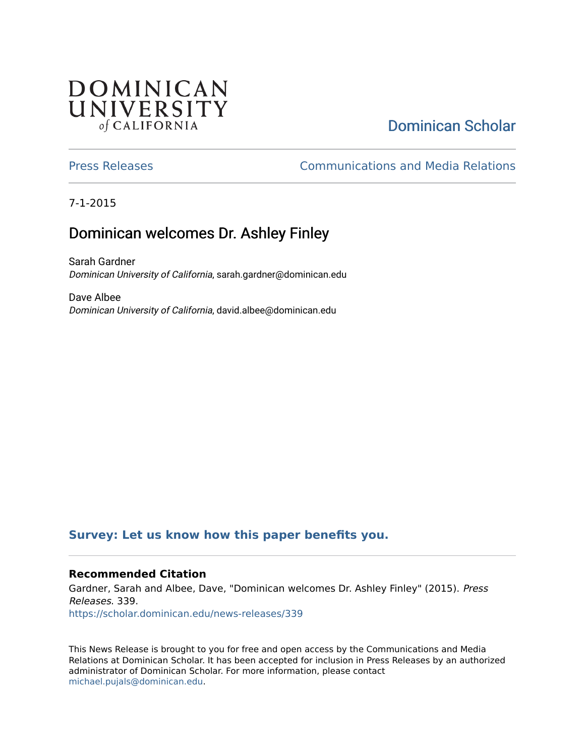## **DOMINICAN** UNIVERSITY of CALIFORNIA

# [Dominican Scholar](https://scholar.dominican.edu/)

#### [Press Releases](https://scholar.dominican.edu/news-releases) [Communications and Media Relations](https://scholar.dominican.edu/communications-media)

7-1-2015

## Dominican welcomes Dr. Ashley Finley

Sarah Gardner Dominican University of California, sarah.gardner@dominican.edu

Dave Albee Dominican University of California, david.albee@dominican.edu

### **[Survey: Let us know how this paper benefits you.](https://dominican.libwizard.com/dominican-scholar-feedback)**

#### **Recommended Citation**

Gardner, Sarah and Albee, Dave, "Dominican welcomes Dr. Ashley Finley" (2015). Press Releases. 339. [https://scholar.dominican.edu/news-releases/339](https://scholar.dominican.edu/news-releases/339?utm_source=scholar.dominican.edu%2Fnews-releases%2F339&utm_medium=PDF&utm_campaign=PDFCoverPages)

This News Release is brought to you for free and open access by the Communications and Media Relations at Dominican Scholar. It has been accepted for inclusion in Press Releases by an authorized administrator of Dominican Scholar. For more information, please contact [michael.pujals@dominican.edu.](mailto:michael.pujals@dominican.edu)